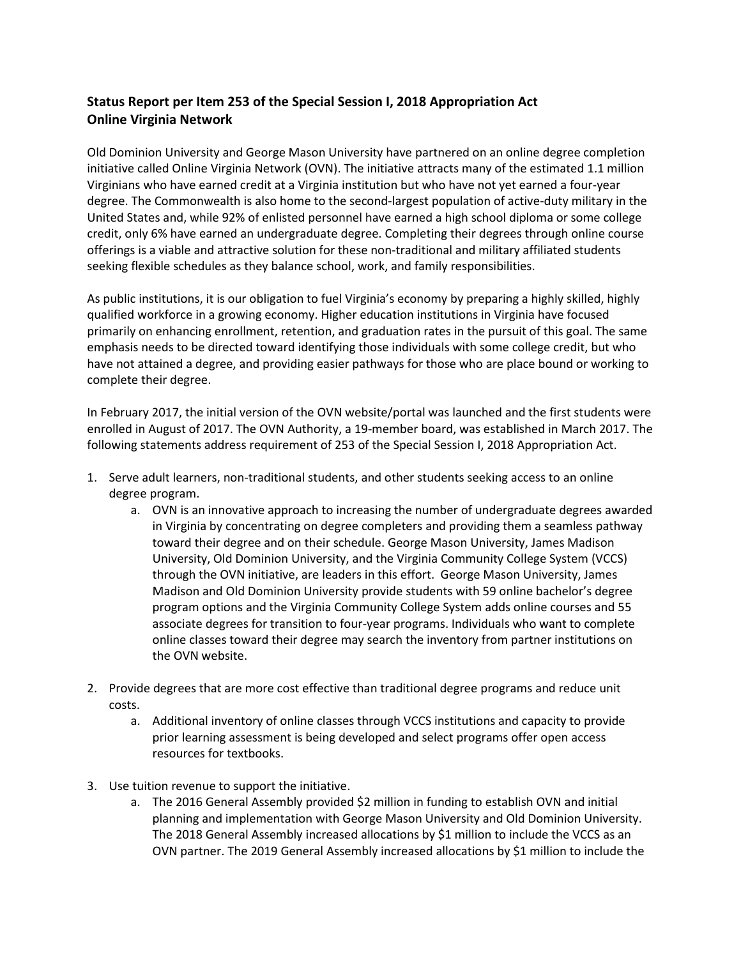## **Status Report per Item 253 of the Special Session I, 2018 Appropriation Act Online Virginia Network**

Old Dominion University and George Mason University have partnered on an online degree completion initiative called Online Virginia Network (OVN). The initiative attracts many of the estimated 1.1 million Virginians who have earned credit at a Virginia institution but who have not yet earned a four-year degree. The Commonwealth is also home to the second-largest population of active-duty military in the United States and, while 92% of enlisted personnel have earned a high school diploma or some college credit, only 6% have earned an undergraduate degree. Completing their degrees through online course offerings is a viable and attractive solution for these non-traditional and military affiliated students seeking flexible schedules as they balance school, work, and family responsibilities.

As public institutions, it is our obligation to fuel Virginia's economy by preparing a highly skilled, highly qualified workforce in a growing economy. Higher education institutions in Virginia have focused primarily on enhancing enrollment, retention, and graduation rates in the pursuit of this goal. The same emphasis needs to be directed toward identifying those individuals with some college credit, but who have not attained a degree, and providing easier pathways for those who are place bound or working to complete their degree.

In February 2017, the initial version of the OVN website/portal was launched and the first students were enrolled in August of 2017. The OVN Authority, a 19-member board, was established in March 2017. The following statements address requirement of 253 of the Special Session I, 2018 Appropriation Act.

- 1. Serve adult learners, non-traditional students, and other students seeking access to an online degree program.
	- a. OVN is an innovative approach to increasing the number of undergraduate degrees awarded in Virginia by concentrating on degree completers and providing them a seamless pathway toward their degree and on their schedule. George Mason University, James Madison University, Old Dominion University, and the Virginia Community College System (VCCS) through the OVN initiative, are leaders in this effort. George Mason University, James Madison and Old Dominion University provide students with 59 online bachelor's degree program options and the Virginia Community College System adds online courses and 55 associate degrees for transition to four-year programs. Individuals who want to complete online classes toward their degree may search the inventory from partner institutions on the OVN website.
- 2. Provide degrees that are more cost effective than traditional degree programs and reduce unit costs.
	- a. Additional inventory of online classes through VCCS institutions and capacity to provide prior learning assessment is being developed and select programs offer open access resources for textbooks.
- 3. Use tuition revenue to support the initiative.
	- a. The 2016 General Assembly provided \$2 million in funding to establish OVN and initial planning and implementation with George Mason University and Old Dominion University. The 2018 General Assembly increased allocations by \$1 million to include the VCCS as an OVN partner. The 2019 General Assembly increased allocations by \$1 million to include the